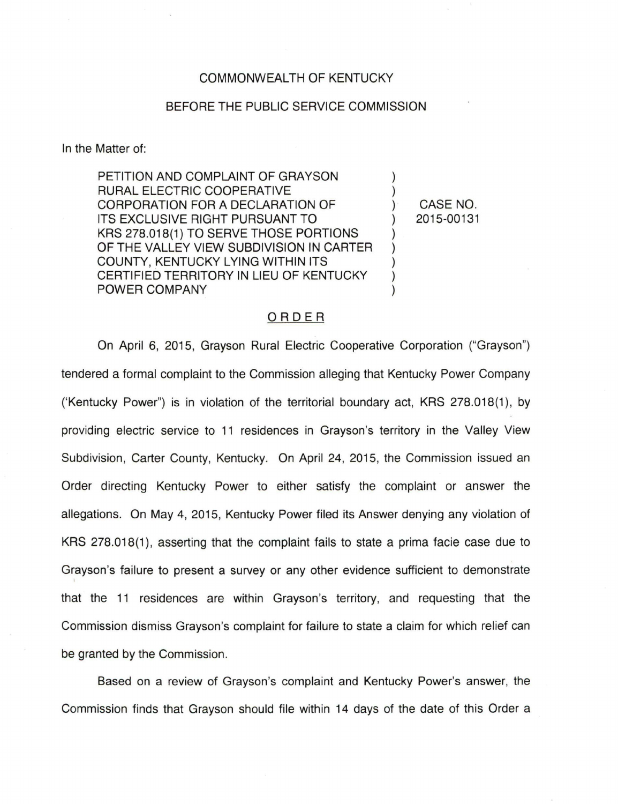## COMMONWEALTH OF KENTUCKY

## BEFORE THE PUBLIC SERVICE COMMISSION

In the Matter of:

PETITION AND COMPLAINT OF GRAYSON RURAL ELECTRIC COOPERATIVE CORPORATION FOR A DECLARATION OF ITS EXCLUSIVE RIGHT PURSUANT TO KRS 278.018(1) TO SERVE THOSE PORTIONS OF THE VALLEY VIEW SUBDIVISION IN CARTER COUNTY, KENTUCKY LYING WITHIN ITS CERTIFIED TERRITORY IN LIEU OF KENTUCKY POWER COMPANY

CASE NO. 2015-00131

## ORDER

On April 6, 2015, Grayson Rural Electric Cooperative Corporation ("Grayson") tendered a formal complaint to the Commission alleging that Kentucky Power Company ('Kentucky Power") is in violation of the territorial boundary act, KRS 278.018(1), by providing electric service to 11 residences in Grayson's territory in the Valley View Subdivision, Carter County, Kentucky. On April 24, 2015, the Commission issued an Order directing Kentucky Power to either satisfy the complaint or answer the allegations. On May 4, 2015, Kentucky Power filed its Answer denying any violation of KRS 278.018(1 ), asserting that the complaint fails to state a prima facie case due to Grayson's failure to present a survey or any other evidence sufficient to demonstrate that the 11 residences are within Grayson's territory, and requesting that the Commission dismiss Grayson's complaint for failure to state a claim for which relief can be granted by the Commission.

Based on a review of Grayson's complaint and Kentucky Power's answer, the Commission finds that Grayson should file within 14 days of the date of this Order a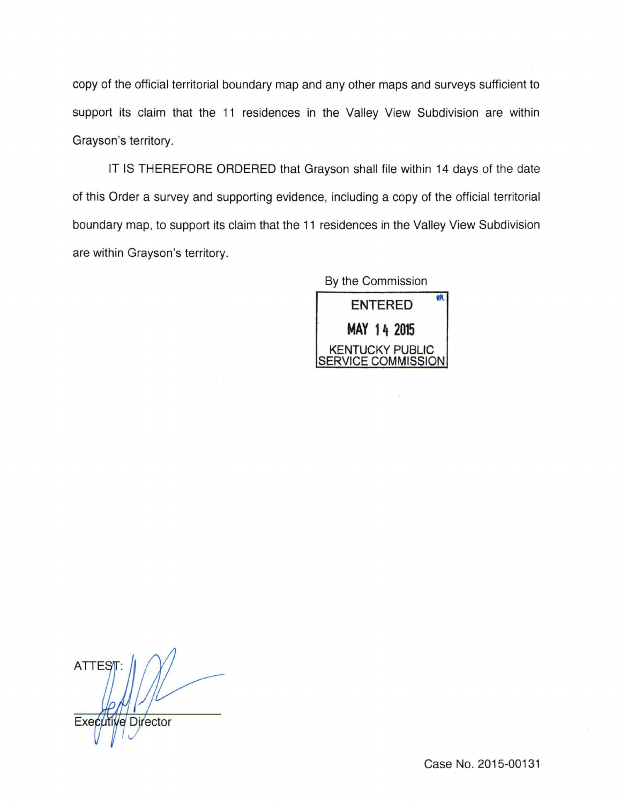copy of the official territorial boundary map and any other maps and surveys sufficient to support its claim that the 11 residences in the Valley View Subdivision are within Grayson's territory.

IT IS THEREFORE ORDERED that Grayson shall file within 14 days of the date of this Order a survey and supporting evidence, including a copy of the official territorial boundary map, to support its claim that the 11 residences in the Valley View Subdivision are within Grayson's territory.

| By the Commission                     |
|---------------------------------------|
| <b>ENTERED</b>                        |
| MAY 14 2015                           |
| KENTUCKY PUBLIC<br>SERVICE COMMISSION |
|                                       |

**ATTES** Executi e Director

Case No. 2015-00131